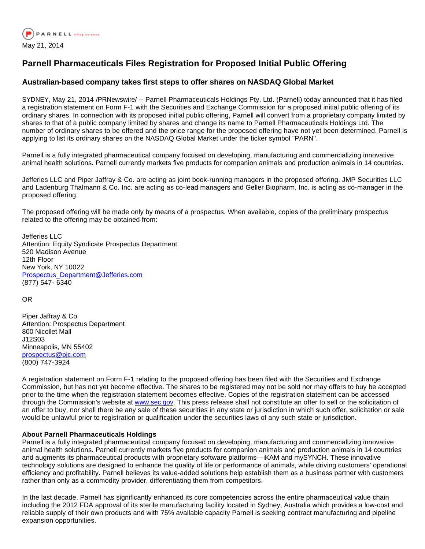

## **Parnell Pharmaceuticals Files Registration for Proposed Initial Public Offering**

## **Australian-based company takes first steps to offer shares on NASDAQ Global Market**

SYDNEY, May 21, 2014 /PRNewswire/ -- Parnell Pharmaceuticals Holdings Pty. Ltd. (Parnell) today announced that it has filed a registration statement on Form F-1 with the Securities and Exchange Commission for a proposed initial public offering of its ordinary shares. In connection with its proposed initial public offering, Parnell will convert from a proprietary company limited by shares to that of a public company limited by shares and change its name to Parnell Pharmaceuticals Holdings Ltd. The number of ordinary shares to be offered and the price range for the proposed offering have not yet been determined. Parnell is applying to list its ordinary shares on the NASDAQ Global Market under the ticker symbol "PARN".

Parnell is a fully integrated pharmaceutical company focused on developing, manufacturing and commercializing innovative animal health solutions. Parnell currently markets five products for companion animals and production animals in 14 countries.

Jefferies LLC and Piper Jaffray & Co. are acting as joint book-running managers in the proposed offering. JMP Securities LLC and Ladenburg Thalmann & Co. Inc. are acting as co-lead managers and Geller Biopharm, Inc. is acting as co-manager in the proposed offering.

The proposed offering will be made only by means of a prospectus. When available, copies of the preliminary prospectus related to the offering may be obtained from:

Jefferies LLC Attention: Equity Syndicate Prospectus Department 520 Madison Avenue 12th Floor New York, NY 10022 [Prospectus\\_Department@Jefferies.com](mailto:Prospectus_Department@Jefferies.com) (877) 547- 6340

OR

Piper Jaffray & Co. Attention: Prospectus Department 800 Nicollet Mall J12S03 Minneapolis, MN 55402 [prospectus@pjc.com](mailto:prospectus@pjc.com) (800) 747-3924

A registration statement on Form F-1 relating to the proposed offering has been filed with the Securities and Exchange Commission, but has not yet become effective. The shares to be registered may not be sold nor may offers to buy be accepted prior to the time when the registration statement becomes effective. Copies of the registration statement can be accessed through the Commission's website at [www.sec.gov.](http://www.sec.gov/) This press release shall not constitute an offer to sell or the solicitation of an offer to buy, nor shall there be any sale of these securities in any state or jurisdiction in which such offer, solicitation or sale would be unlawful prior to registration or qualification under the securities laws of any such state or jurisdiction.

## **About Parnell Pharmaceuticals Holdings**

Parnell is a fully integrated pharmaceutical company focused on developing, manufacturing and commercializing innovative animal health solutions. Parnell currently markets five products for companion animals and production animals in 14 countries and augments its pharmaceutical products with proprietary software platforms—iKAM and mySYNCH. These innovative technology solutions are designed to enhance the quality of life or performance of animals, while driving customers' operational efficiency and profitability. Parnell believes its value-added solutions help establish them as a business partner with customers rather than only as a commodity provider, differentiating them from competitors.

In the last decade, Parnell has significantly enhanced its core competencies across the entire pharmaceutical value chain including the 2012 FDA approval of its sterile manufacturing facility located in Sydney, Australia which provides a low-cost and reliable supply of their own products and with 75% available capacity Parnell is seeking contract manufacturing and pipeline expansion opportunities.